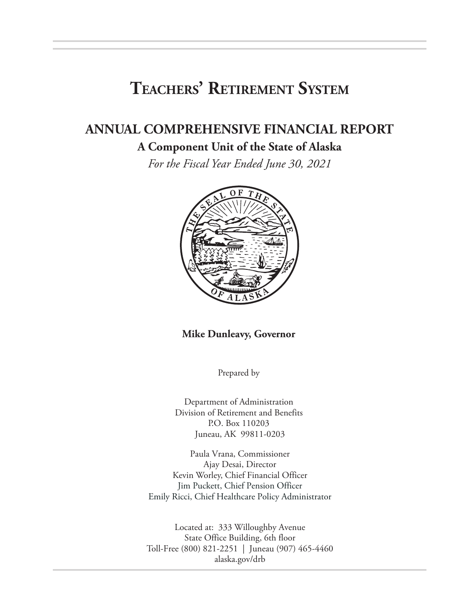# **Teachers' Retirement System**

# **ANNUAL COMPREHENSIVE FINANCIAL REPORT**

### **A Component Unit of the State of Alaska**

*For the Fiscal Year Ended June 30, 2021*



#### **Mike Dunleavy, Governor**

Prepared by

Department of Administration Division of Retirement and Benefits P.O. Box 110203 Juneau, AK 99811-0203

Paula Vrana, Commissioner Ajay Desai, Director Kevin Worley, Chief Financial Officer Jim Puckett, Chief Pension Officer Emily Ricci, Chief Healthcare Policy Administrator

Located at: 333 Willoughby Avenue State Office Building, 6th floor Toll-Free (800) 821-2251 | Juneau (907) 465-4460 alaska.gov/drb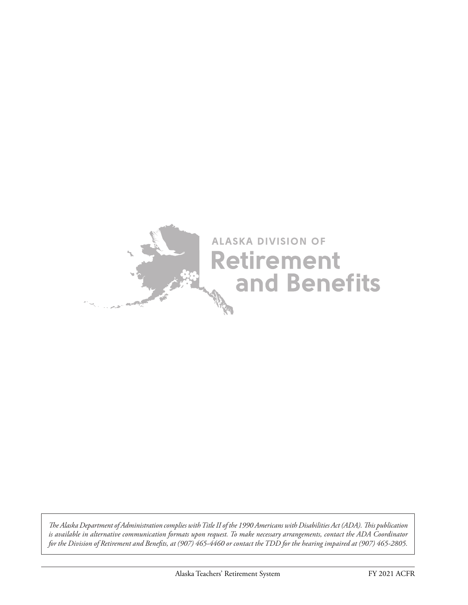

*The Alaska Department of Administration complies with Title II of the 1990 Americans with Disabilities Act (ADA). This publication is available in alternative communication formats upon request. To make necessary arrangements, contact the ADA Coordinator for the Division of Retirement and Benefits, at (907) 465-4460 or contact the TDD for the hearing impaired at (907) 465-2805.*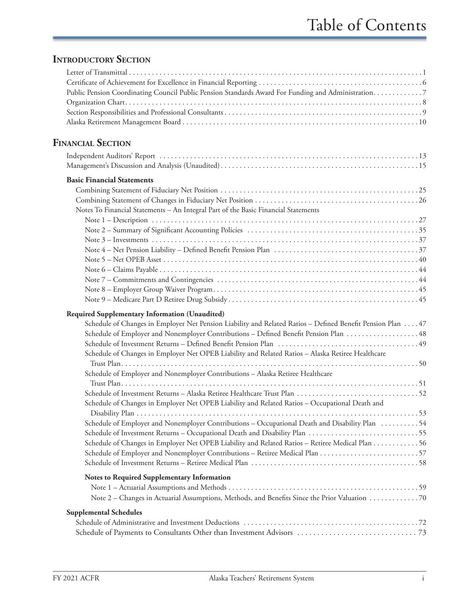# **INTRODUCTORY SECTION**

| Public Pension Coordinating Council Public Pension Standards Award For Funding and Administration. 7       |  |
|------------------------------------------------------------------------------------------------------------|--|
|                                                                                                            |  |
|                                                                                                            |  |
|                                                                                                            |  |
| <b>FINANCIAL SECTION</b>                                                                                   |  |
|                                                                                                            |  |
|                                                                                                            |  |
| <b>Basic Financial Statements</b>                                                                          |  |
|                                                                                                            |  |
|                                                                                                            |  |
| Notes To Financial Statements - An Integral Part of the Basic Financial Statements                         |  |
|                                                                                                            |  |
|                                                                                                            |  |
|                                                                                                            |  |
|                                                                                                            |  |
|                                                                                                            |  |
|                                                                                                            |  |
|                                                                                                            |  |
|                                                                                                            |  |
|                                                                                                            |  |
| Required Supplementary Information (Unaudited)                                                             |  |
| Schedule of Changes in Employer Net Pension Liability and Related Ratios - Defined Benefit Pension Plan 47 |  |
| Schedule of Employer and Nonemployer Contributions - Defined Benefit Pension Plan  48                      |  |
|                                                                                                            |  |
| Schedule of Changes in Employer Net OPEB Liability and Related Ratios - Alaska Retiree Healthcare          |  |
|                                                                                                            |  |
| Schedule of Employer and Nonemployer Contributions - Alaska Retiree Healthcare                             |  |
|                                                                                                            |  |
|                                                                                                            |  |
| Schedule of Changes in Employer Net OPEB Liability and Related Ratios - Occupational Death and             |  |
|                                                                                                            |  |
| Schedule of Employer and Nonemployer Contributions - Occupational Death and Disability Plan 54             |  |
|                                                                                                            |  |
| Schedule of Changes in Employer Net OPEB Liability and Related Ratios - Retiree Medical Plan 56            |  |
|                                                                                                            |  |
|                                                                                                            |  |
| <b>Notes to Required Supplementary Information</b>                                                         |  |
|                                                                                                            |  |
| Note 2 – Changes in Actuarial Assumptions, Methods, and Benefits Since the Prior Valuation 70              |  |
| <b>Supplemental Schedules</b>                                                                              |  |
|                                                                                                            |  |
|                                                                                                            |  |